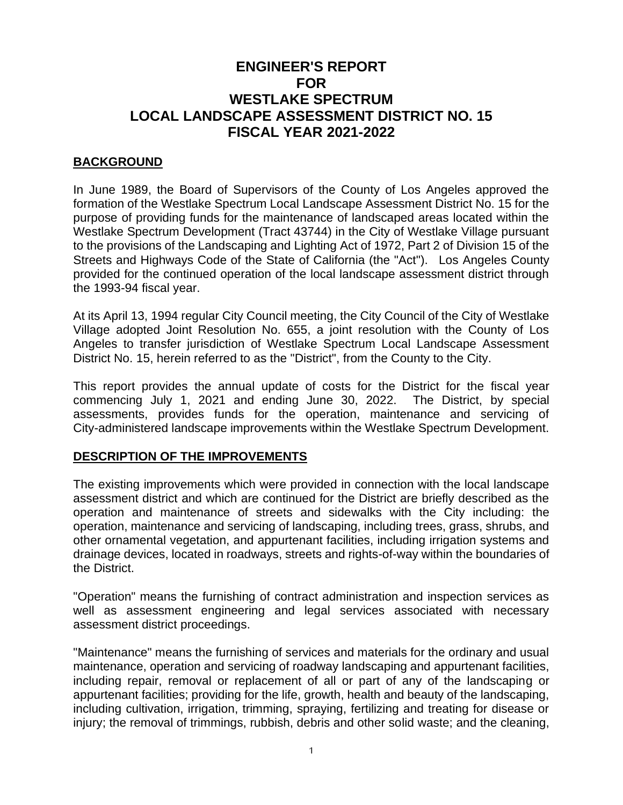### **ENGINEER'S REPORT FOR WESTLAKE SPECTRUM LOCAL LANDSCAPE ASSESSMENT DISTRICT NO. 15 FISCAL YEAR 2021-2022**

### **BACKGROUND**

In June 1989, the Board of Supervisors of the County of Los Angeles approved the formation of the Westlake Spectrum Local Landscape Assessment District No. 15 for the purpose of providing funds for the maintenance of landscaped areas located within the Westlake Spectrum Development (Tract 43744) in the City of Westlake Village pursuant to the provisions of the Landscaping and Lighting Act of 1972, Part 2 of Division 15 of the Streets and Highways Code of the State of California (the "Act"). Los Angeles County provided for the continued operation of the local landscape assessment district through the 1993-94 fiscal year.

At its April 13, 1994 regular City Council meeting, the City Council of the City of Westlake Village adopted Joint Resolution No. 655, a joint resolution with the County of Los Angeles to transfer jurisdiction of Westlake Spectrum Local Landscape Assessment District No. 15, herein referred to as the "District", from the County to the City.

This report provides the annual update of costs for the District for the fiscal year commencing July 1, 2021 and ending June 30, 2022. The District, by special assessments, provides funds for the operation, maintenance and servicing of City-administered landscape improvements within the Westlake Spectrum Development.

### **DESCRIPTION OF THE IMPROVEMENTS**

The existing improvements which were provided in connection with the local landscape assessment district and which are continued for the District are briefly described as the operation and maintenance of streets and sidewalks with the City including: the operation, maintenance and servicing of landscaping, including trees, grass, shrubs, and other ornamental vegetation, and appurtenant facilities, including irrigation systems and drainage devices, located in roadways, streets and rights-of-way within the boundaries of the District.

"Operation" means the furnishing of contract administration and inspection services as well as assessment engineering and legal services associated with necessary assessment district proceedings.

"Maintenance" means the furnishing of services and materials for the ordinary and usual maintenance, operation and servicing of roadway landscaping and appurtenant facilities, including repair, removal or replacement of all or part of any of the landscaping or appurtenant facilities; providing for the life, growth, health and beauty of the landscaping, including cultivation, irrigation, trimming, spraying, fertilizing and treating for disease or injury; the removal of trimmings, rubbish, debris and other solid waste; and the cleaning,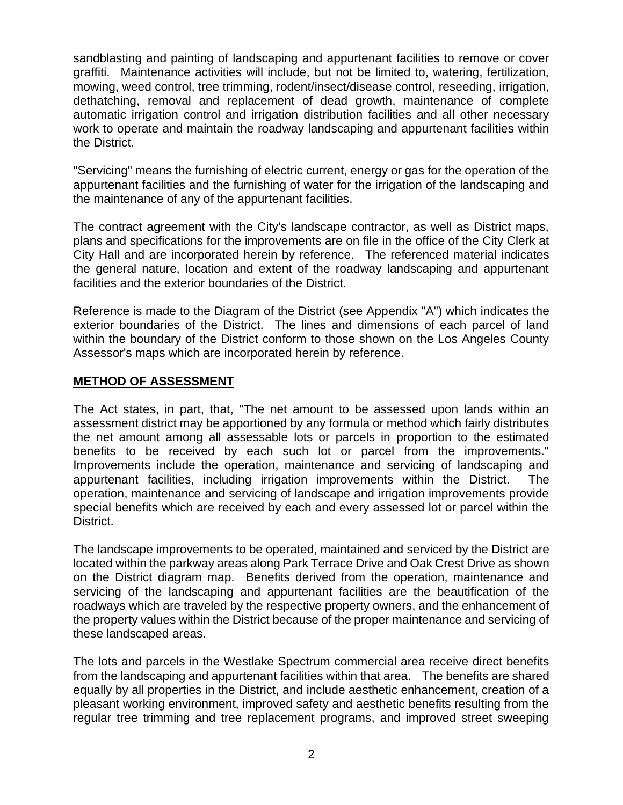sandblasting and painting of landscaping and appurtenant facilities to remove or cover graffiti. Maintenance activities will include, but not be limited to, watering, fertilization, mowing, weed control, tree trimming, rodent/insect/disease control, reseeding, irrigation, dethatching, removal and replacement of dead growth, maintenance of complete automatic irrigation control and irrigation distribution facilities and all other necessary work to operate and maintain the roadway landscaping and appurtenant facilities within the District.

"Servicing" means the furnishing of electric current, energy or gas for the operation of the appurtenant facilities and the furnishing of water for the irrigation of the landscaping and the maintenance of any of the appurtenant facilities.

The contract agreement with the City's landscape contractor, as well as District maps, plans and specifications for the improvements are on file in the office of the City Clerk at City Hall and are incorporated herein by reference. The referenced material indicates the general nature, location and extent of the roadway landscaping and appurtenant facilities and the exterior boundaries of the District.

Reference is made to the Diagram of the District (see Appendix "A") which indicates the exterior boundaries of the District. The lines and dimensions of each parcel of land within the boundary of the District conform to those shown on the Los Angeles County Assessor's maps which are incorporated herein by reference.

### **METHOD OF ASSESSMENT**

The Act states, in part, that, "The net amount to be assessed upon lands within an assessment district may be apportioned by any formula or method which fairly distributes the net amount among all assessable lots or parcels in proportion to the estimated benefits to be received by each such lot or parcel from the improvements." Improvements include the operation, maintenance and servicing of landscaping and appurtenant facilities, including irrigation improvements within the District. The operation, maintenance and servicing of landscape and irrigation improvements provide special benefits which are received by each and every assessed lot or parcel within the District.

The landscape improvements to be operated, maintained and serviced by the District are located within the parkway areas along Park Terrace Drive and Oak Crest Drive as shown on the District diagram map. Benefits derived from the operation, maintenance and servicing of the landscaping and appurtenant facilities are the beautification of the roadways which are traveled by the respective property owners, and the enhancement of the property values within the District because of the proper maintenance and servicing of these landscaped areas.

The lots and parcels in the Westlake Spectrum commercial area receive direct benefits from the landscaping and appurtenant facilities within that area. The benefits are shared equally by all properties in the District, and include aesthetic enhancement, creation of a pleasant working environment, improved safety and aesthetic benefits resulting from the regular tree trimming and tree replacement programs, and improved street sweeping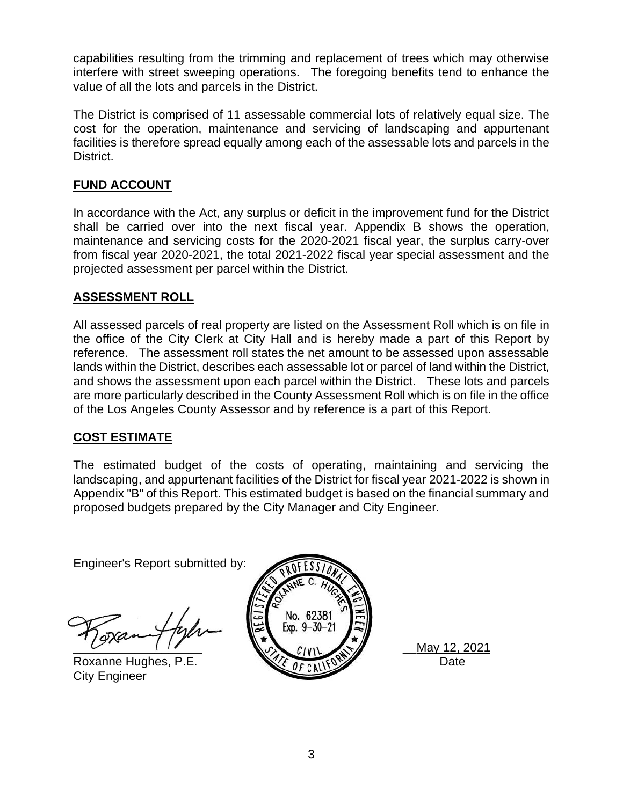capabilities resulting from the trimming and replacement of trees which may otherwise interfere with street sweeping operations. The foregoing benefits tend to enhance the value of all the lots and parcels in the District.

The District is comprised of 11 assessable commercial lots of relatively equal size. The cost for the operation, maintenance and servicing of landscaping and appurtenant facilities is therefore spread equally among each of the assessable lots and parcels in the District.

### **FUND ACCOUNT**

In accordance with the Act, any surplus or deficit in the improvement fund for the District shall be carried over into the next fiscal year. Appendix B shows the operation, maintenance and servicing costs for the 2020-2021 fiscal year, the surplus carry-over from fiscal year 2020-2021, the total 2021-2022 fiscal year special assessment and the projected assessment per parcel within the District.

### **ASSESSMENT ROLL**

All assessed parcels of real property are listed on the Assessment Roll which is on file in the office of the City Clerk at City Hall and is hereby made a part of this Report by reference. The assessment roll states the net amount to be assessed upon assessable lands within the District, describes each assessable lot or parcel of land within the District, and shows the assessment upon each parcel within the District. These lots and parcels are more particularly described in the County Assessment Roll which is on file in the office of the Los Angeles County Assessor and by reference is a part of this Report.

### **COST ESTIMATE**

The estimated budget of the costs of operating, maintaining and servicing the landscaping, and appurtenant facilities of the District for fiscal year 2021-2022 is shown in Appendix "B" of this Report. This estimated budget is based on the financial summary and proposed budgets prepared by the City Manager and City Engineer.

Engineer's Report submitted by:

City Engineer



\_\_\_\_\_\_\_\_\_\_\_\_\_\_\_\_\_\_\_ \_\_May 12, 2021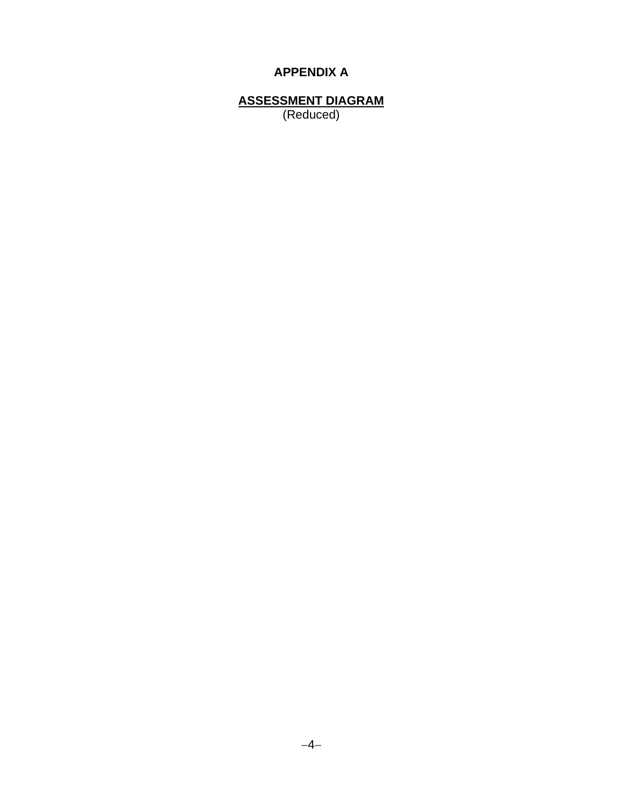### **APPENDIX A**

ASSESSMENT DIAGRAM<br>(Reduced)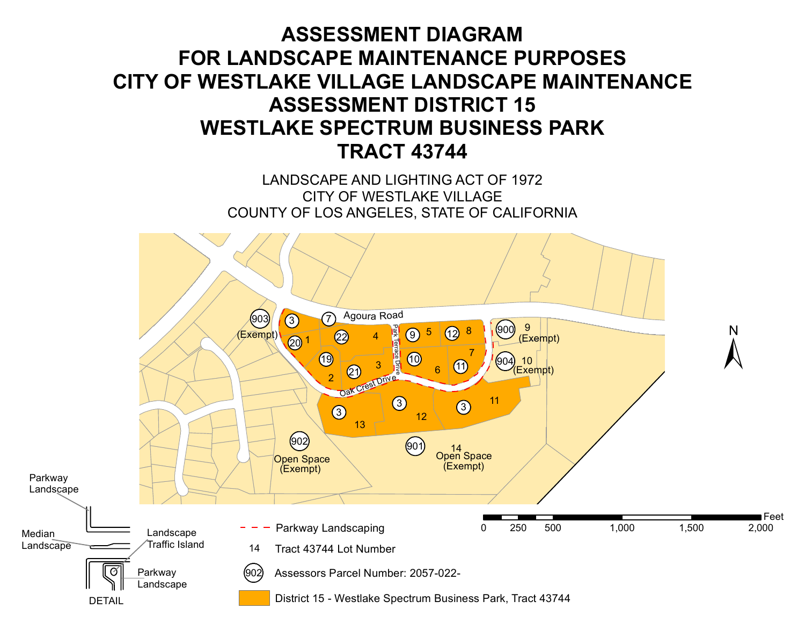# **ASSESSMENT DIAGRAM FOR LANDSCAPE MAINTENANCE PURPOSES CITY OF WESTLAKE VILLAGE LANDSCAPE MAINTENANCE ASSESSMENT DISTRICT 15 WESTLAKE SPECTRUM BUSINESS PARK TRACT 43744**

LANDSCAPE AND LIGHTING ACT OF 1972 CITY OF WESTLAKE VILLAGE COUNTY OF LOS ANGELES, STATE OF CALIFORNIA

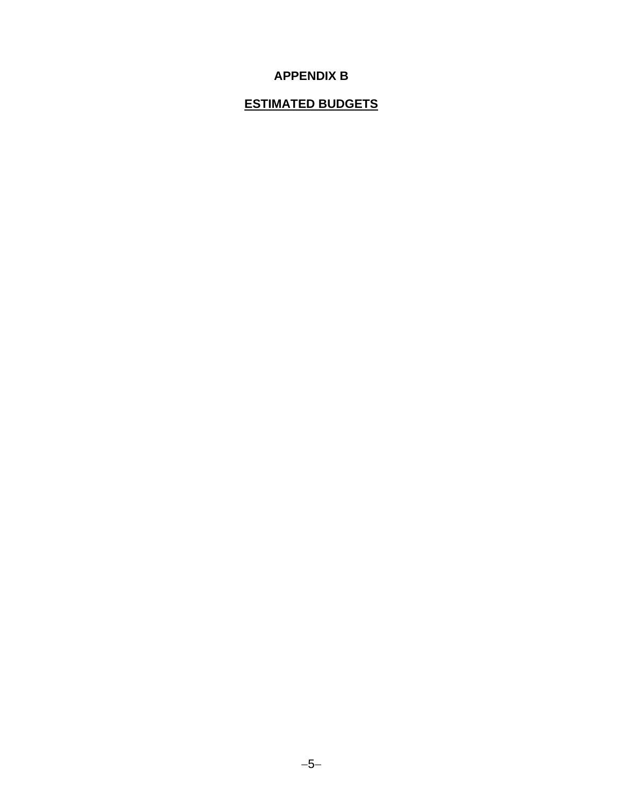### **APPENDIX B**

### **ESTIMATED BUDGETS**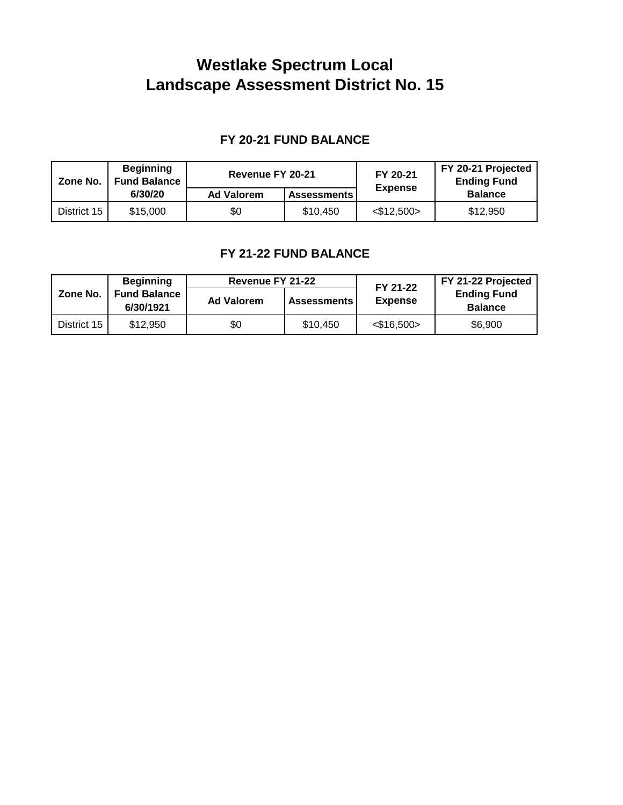## **Westlake Spectrum Local Landscape Assessment District No. 15**

### **FY 20-21 FUND BALANCE**

| Zone No.    | <b>Beginning</b><br><b>Fund Balance</b> | Revenue FY 20-21  |                    | FY 20-21         | FY 20-21 Projected<br><b>Ending Fund</b> |  |  |
|-------------|-----------------------------------------|-------------------|--------------------|------------------|------------------------------------------|--|--|
|             | 6/30/20                                 | <b>Ad Valorem</b> | <b>Assessments</b> | <b>Expense</b>   | <b>Balance</b>                           |  |  |
| District 15 | \$15,000                                | \$0               | \$10,450           | $<$ \$12,500 $>$ | \$12,950                                 |  |  |

### **FY 21-22 FUND BALANCE**

|             | <b>Beginning</b>                 | Revenue FY 21-22  |                    | FY 21-22         | FY 21-22 Projected<br><b>Ending Fund</b><br><b>Balance</b> |  |  |
|-------------|----------------------------------|-------------------|--------------------|------------------|------------------------------------------------------------|--|--|
| Zone No.    | <b>Fund Balance</b><br>6/30/1921 | <b>Ad Valorem</b> | <b>Assessments</b> | <b>Expense</b>   |                                                            |  |  |
| District 15 | \$12,950                         | \$0               | \$10.450           | $<$ \$16.500 $>$ | \$6,900                                                    |  |  |